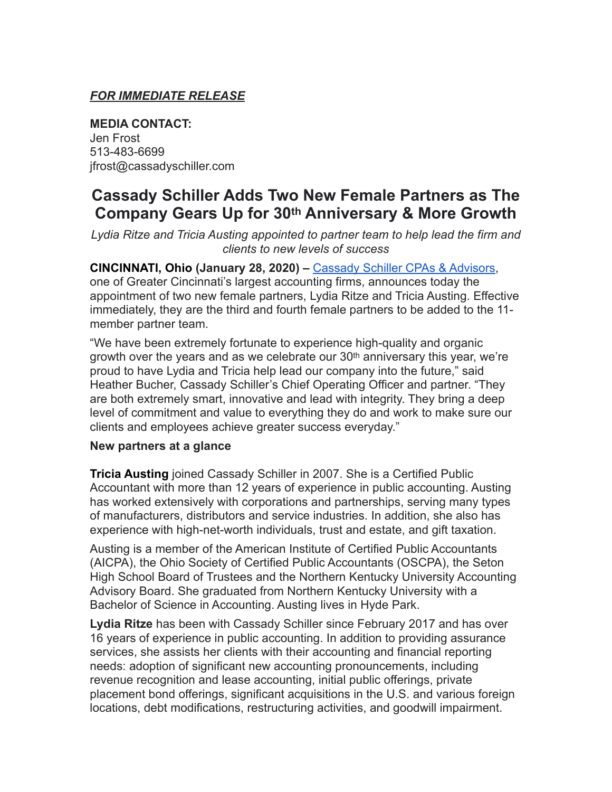## *FOR IMMEDIATE RELEASE*

**MEDIA CONTACT:**  Jen Frost 513-483-6699 jfrost@cassadyschiller.com

# **Cassady Schiller Adds Two New Female Partners as The Company Gears Up for 30th Anniversary & More Growth**

*Lydia Ritze and Tricia Austing appointed to partner team to help lead the firm and clients to new levels of success*

**CINCINNATI, Ohio (January 28, 2020) –** [Cassady Schiller CPAs & Advisors,](https://www.cassadyschiller.com/) one of Greater Cincinnati's largest accounting firms, announces today the appointment of two new female partners, Lydia Ritze and Tricia Austing. Effective immediately, they are the third and fourth female partners to be added to the 11 member partner team.

"We have been extremely fortunate to experience high-quality and organic growth over the years and as we celebrate our  $30<sup>th</sup>$  anniversary this year, we're proud to have Lydia and Tricia help lead our company into the future," said Heather Bucher, Cassady Schiller's Chief Operating Officer and partner. "They are both extremely smart, innovative and lead with integrity. They bring a deep level of commitment and value to everything they do and work to make sure our clients and employees achieve greater success everyday."

#### **New partners at a glance**

**Tricia Austing** joined Cassady Schiller in 2007. She is a Certified Public Accountant with more than 12 years of experience in public accounting. Austing has worked extensively with corporations and partnerships, serving many types of manufacturers, distributors and service industries. In addition, she also has experience with high-net-worth individuals, trust and estate, and gift taxation.

Austing is a member of the American Institute of Certified Public Accountants (AICPA), the Ohio Society of Certified Public Accountants (OSCPA), the Seton High School Board of Trustees and the Northern Kentucky University Accounting Advisory Board. She graduated from Northern Kentucky University with a Bachelor of Science in Accounting. Austing lives in Hyde Park.

**Lydia Ritze** has been with Cassady Schiller since February 2017 and has over 16 years of experience in public accounting. In addition to providing assurance services, she assists her clients with their accounting and financial reporting needs: adoption of significant new accounting pronouncements, including revenue recognition and lease accounting, initial public offerings, private placement bond offerings, significant acquisitions in the U.S. and various foreign locations, debt modifications, restructuring activities, and goodwill impairment.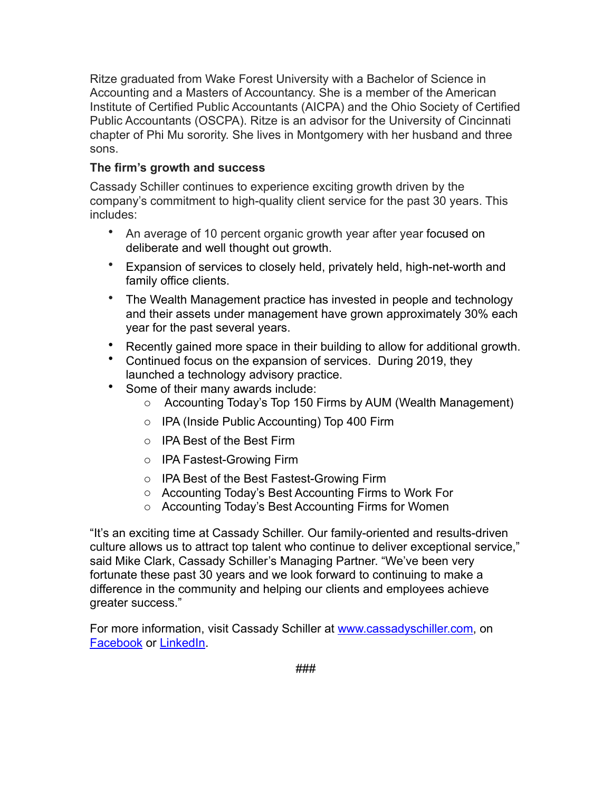Ritze graduated from Wake Forest University with a Bachelor of Science in Accounting and a Masters of Accountancy. She is a member of the American Institute of Certified Public Accountants (AICPA) and the Ohio Society of Certified Public Accountants (OSCPA). Ritze is an advisor for the University of Cincinnati chapter of Phi Mu sorority. She lives in Montgomery with her husband and three sons.

### **The firm's growth and success**

Cassady Schiller continues to experience exciting growth driven by the company's commitment to high-quality client service for the past 30 years. This includes:

- An average of 10 percent organic growth year after year focused on deliberate and well thought out growth.
- Expansion of services to closely held, privately held, high-net-worth and family office clients.
- The Wealth Management practice has invested in people and technology and their assets under management have grown approximately 30% each year for the past several years.
- Recently gained more space in their building to allow for additional growth.
- Continued focus on the expansion of services. During 2019, they launched a technology advisory practice.
- Some of their many awards include:
	- o Accounting Today's Top 150 Firms by AUM (Wealth Management)
	- o IPA (Inside Public Accounting) Top 400 Firm
	- o IPA Best of the Best Firm
	- o IPA Fastest-Growing Firm
	- o IPA Best of the Best Fastest-Growing Firm
	- o Accounting Today's Best Accounting Firms to Work For
	- o Accounting Today's Best Accounting Firms for Women

"It's an exciting time at Cassady Schiller. Our family-oriented and results-driven culture allows us to attract top talent who continue to deliver exceptional service," said Mike Clark, Cassady Schiller's Managing Partner. "We've been very fortunate these past 30 years and we look forward to continuing to make a difference in the community and helping our clients and employees achieve greater success."

For more information, visit Cassady Schiller at [www.cassadyschiller.com](http://www.cassadyschiller.com), on [Facebook](https://www.facebook.com/cassadyschiller/) or [LinkedIn](https://www.linkedin.com/company/cassadyschiller/).